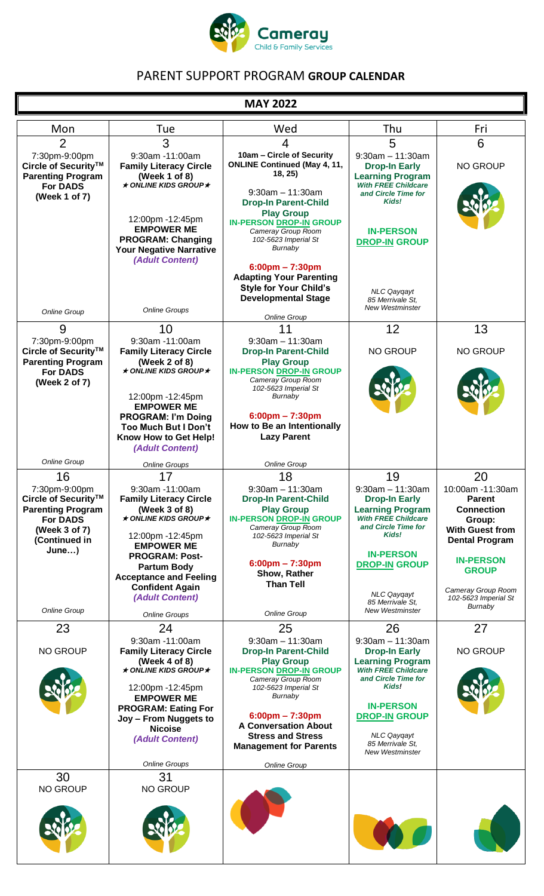

# PARENT SUPPORT PROGRAM **GROUP CALENDAR**

### **MAY 2022**

| Thu<br>Mon<br>Tue<br>Wed<br>3<br>5<br>$\overline{2}$<br>$\overline{4}$<br>9:30am -11:00am<br>7:30pm-9:00pm<br>10am - Circle of Security<br>$9:30$ am $-11:30$ am<br><b>ONLINE Continued (May 4, 11,</b><br>Circle of Security™<br><b>Family Literacy Circle</b><br><b>Drop-In Early</b><br>18, 25)<br><b>Parenting Program</b><br>(Week 1 of 8)<br><b>Learning Program</b><br>$\star$ ONLINE KIDS GROUP $\star$<br><b>With FREE Childcare</b><br><b>For DADS</b><br>$9:30$ am $-11:30$ am<br>and Circle Time for<br>(Week 1 of 7)<br>Kids!<br><b>Drop-In Parent-Child</b><br><b>Play Group</b><br>12:00pm -12:45pm<br><b>IN-PERSON DROP-IN GROUP</b><br><b>EMPOWER ME</b><br><b>IN-PERSON</b><br>Cameray Group Room<br><b>PROGRAM: Changing</b><br>102-5623 Imperial St<br><b>DROP-IN GROUP</b><br>Burnaby<br>Your Negative Narrative<br>(Adult Content)<br>$6:00 \text{pm} - 7:30 \text{pm}$<br><b>Adapting Your Parenting</b><br><b>Style for Your Child's</b><br><b>NLC Qaygayt</b><br><b>Developmental Stage</b><br>85 Merrivale St.<br><b>New Westminster</b><br><b>Online Groups</b><br><b>Online Group</b><br><b>Online Group</b><br>12<br>9<br>10<br>11<br>9:30am -11:00am<br>7:30pm-9:00pm<br>$9:30$ am $-11:30$ am<br>Circle of Security™<br><b>NO GROUP</b><br><b>Family Literacy Circle</b><br><b>Drop-In Parent-Child</b><br><b>Parenting Program</b><br>(Week 2 of 8)<br><b>Play Group</b><br>$\star$ ONLINE KIDS GROUP $\star$<br><b>IN-PERSON DROP-IN GROUP</b><br><b>For DADS</b><br>Cameray Group Room<br>(Week 2 of 7)<br>102-5623 Imperial St<br>12:00pm -12:45pm<br>Burnaby<br><b>EMPOWER ME</b><br>$6:00$ pm - 7:30pm<br><b>PROGRAM: I'm Doing</b><br>How to Be an Intentionally<br><b>Too Much But I Don't</b><br><b>Lazy Parent</b><br>Know How to Get Help!<br>(Adult Content)<br>Online Group<br><b>Online Group</b><br><b>Online Groups</b><br>16<br>19<br>17<br>18 | Fri                                                                                                                                           |
|------------------------------------------------------------------------------------------------------------------------------------------------------------------------------------------------------------------------------------------------------------------------------------------------------------------------------------------------------------------------------------------------------------------------------------------------------------------------------------------------------------------------------------------------------------------------------------------------------------------------------------------------------------------------------------------------------------------------------------------------------------------------------------------------------------------------------------------------------------------------------------------------------------------------------------------------------------------------------------------------------------------------------------------------------------------------------------------------------------------------------------------------------------------------------------------------------------------------------------------------------------------------------------------------------------------------------------------------------------------------------------------------------------------------------------------------------------------------------------------------------------------------------------------------------------------------------------------------------------------------------------------------------------------------------------------------------------------------------------------------------------------------------------------------------------------------------------------------------------------------------------------------|-----------------------------------------------------------------------------------------------------------------------------------------------|
|                                                                                                                                                                                                                                                                                                                                                                                                                                                                                                                                                                                                                                                                                                                                                                                                                                                                                                                                                                                                                                                                                                                                                                                                                                                                                                                                                                                                                                                                                                                                                                                                                                                                                                                                                                                                                                                                                                | 6                                                                                                                                             |
|                                                                                                                                                                                                                                                                                                                                                                                                                                                                                                                                                                                                                                                                                                                                                                                                                                                                                                                                                                                                                                                                                                                                                                                                                                                                                                                                                                                                                                                                                                                                                                                                                                                                                                                                                                                                                                                                                                | <b>NO GROUP</b>                                                                                                                               |
|                                                                                                                                                                                                                                                                                                                                                                                                                                                                                                                                                                                                                                                                                                                                                                                                                                                                                                                                                                                                                                                                                                                                                                                                                                                                                                                                                                                                                                                                                                                                                                                                                                                                                                                                                                                                                                                                                                |                                                                                                                                               |
|                                                                                                                                                                                                                                                                                                                                                                                                                                                                                                                                                                                                                                                                                                                                                                                                                                                                                                                                                                                                                                                                                                                                                                                                                                                                                                                                                                                                                                                                                                                                                                                                                                                                                                                                                                                                                                                                                                |                                                                                                                                               |
|                                                                                                                                                                                                                                                                                                                                                                                                                                                                                                                                                                                                                                                                                                                                                                                                                                                                                                                                                                                                                                                                                                                                                                                                                                                                                                                                                                                                                                                                                                                                                                                                                                                                                                                                                                                                                                                                                                | 13                                                                                                                                            |
|                                                                                                                                                                                                                                                                                                                                                                                                                                                                                                                                                                                                                                                                                                                                                                                                                                                                                                                                                                                                                                                                                                                                                                                                                                                                                                                                                                                                                                                                                                                                                                                                                                                                                                                                                                                                                                                                                                | <b>NO GROUP</b>                                                                                                                               |
|                                                                                                                                                                                                                                                                                                                                                                                                                                                                                                                                                                                                                                                                                                                                                                                                                                                                                                                                                                                                                                                                                                                                                                                                                                                                                                                                                                                                                                                                                                                                                                                                                                                                                                                                                                                                                                                                                                |                                                                                                                                               |
|                                                                                                                                                                                                                                                                                                                                                                                                                                                                                                                                                                                                                                                                                                                                                                                                                                                                                                                                                                                                                                                                                                                                                                                                                                                                                                                                                                                                                                                                                                                                                                                                                                                                                                                                                                                                                                                                                                |                                                                                                                                               |
| 7:30pm-9:00pm<br>$9:30am - 11:30am$<br>$9:30am - 11:30am$<br>9:30am -11:00am<br>Circle of Security™<br><b>Family Literacy Circle</b><br><b>Drop-In Parent-Child</b><br><b>Drop-In Early</b><br><b>Parenting Program</b><br>(Week 3 of 8)<br><b>Learning Program</b><br><b>Play Group</b><br>$\star$ ONLINE KIDS GROUP $\star$<br><b>With FREE Childcare</b><br><b>For DADS</b><br><b>IN-PERSON DROP-IN GROUP</b><br>and Circle Time for<br>Cameray Group Room<br>(Week 3 of 7)<br>Kids!<br>102-5623 Imperial St<br>12:00pm -12:45pm<br>(Continued in<br>Burnaby<br><b>EMPOWER ME</b><br>June)<br><b>IN-PERSON</b><br><b>PROGRAM: Post-</b><br>$6:00 \text{pm} - 7:30 \text{pm}$<br><b>DROP-IN GROUP</b>                                                                                                                                                                                                                                                                                                                                                                                                                                                                                                                                                                                                                                                                                                                                                                                                                                                                                                                                                                                                                                                                                                                                                                                        | 20<br>10:00am -11:30am<br><b>Parent</b><br><b>Connection</b><br>Group:<br><b>With Guest from</b><br><b>Dental Program</b><br><b>IN-PERSON</b> |
| <b>Partum Body</b><br>Show, Rather<br><b>Acceptance and Feeling</b><br><b>Than Tell</b><br><b>Confident Again</b><br><b>NLC Qaygayt</b><br>(Adult Content)<br>85 Merrivale St.<br><b>Online Group</b><br><b>New Westminster</b><br>Online Group                                                                                                                                                                                                                                                                                                                                                                                                                                                                                                                                                                                                                                                                                                                                                                                                                                                                                                                                                                                                                                                                                                                                                                                                                                                                                                                                                                                                                                                                                                                                                                                                                                                | <b>GROUP</b><br>Cameray Group Room<br>102-5623 Imperial St<br>Burnaby                                                                         |
| <b>Online Groups</b><br>23<br>26<br>24<br>25                                                                                                                                                                                                                                                                                                                                                                                                                                                                                                                                                                                                                                                                                                                                                                                                                                                                                                                                                                                                                                                                                                                                                                                                                                                                                                                                                                                                                                                                                                                                                                                                                                                                                                                                                                                                                                                   | 27                                                                                                                                            |
| 9:30am -11:00am<br>$9:30$ am $-11:30$ am<br>$9:30am - 11:30am$<br><b>NO GROUP</b><br><b>Family Literacy Circle</b><br><b>Drop-In Parent-Child</b><br><b>Drop-In Early</b><br>(Week 4 of 8)<br><b>Play Group</b><br><b>Learning Program</b><br>$\star$ ONLINE KIDS GROUP $\star$<br><b>With FREE Childcare</b><br><b>IN-PERSON DROP-IN GROUP</b><br>and Circle Time for<br>Cameray Group Room<br>Kids!<br>12:00pm -12:45pm<br>102-5623 Imperial St<br>Burnaby<br><b>EMPOWER ME</b><br><b>IN-PERSON</b><br><b>PROGRAM: Eating For</b><br>$6:00 \text{pm} - 7:30 \text{pm}$<br><b>DROP-IN GROUP</b>                                                                                                                                                                                                                                                                                                                                                                                                                                                                                                                                                                                                                                                                                                                                                                                                                                                                                                                                                                                                                                                                                                                                                                                                                                                                                               | <b>NO GROUP</b>                                                                                                                               |
| Joy - From Nuggets to<br><b>A Conversation About</b><br><b>Nicoise</b><br><b>Stress and Stress</b><br><b>NLC Qayqayt</b><br>(Adult Content)<br>85 Merrivale St.<br><b>Management for Parents</b><br><b>New Westminster</b><br><b>Online Groups</b><br><b>Online Group</b>                                                                                                                                                                                                                                                                                                                                                                                                                                                                                                                                                                                                                                                                                                                                                                                                                                                                                                                                                                                                                                                                                                                                                                                                                                                                                                                                                                                                                                                                                                                                                                                                                      |                                                                                                                                               |
| 30<br>31<br>NO GROUP<br><b>NO GROUP</b>                                                                                                                                                                                                                                                                                                                                                                                                                                                                                                                                                                                                                                                                                                                                                                                                                                                                                                                                                                                                                                                                                                                                                                                                                                                                                                                                                                                                                                                                                                                                                                                                                                                                                                                                                                                                                                                        |                                                                                                                                               |